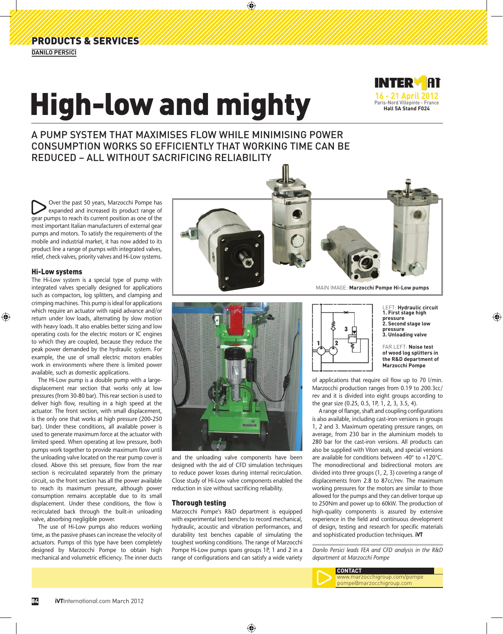## High-low and mighty



A PUMP SYSTEM THAT MAXIMISES FLOW WHILE MINIMISING POWER CONSUMPTION WORKS SO EFFICIENTLY THAT WORKING TIME CAN BE REDUCED – ALL WITHOUT SACRIFICING RELIABILITY

Over the past 50 years, Marzocchi Pompe has expanded and increased its product range of gear pumps to reach its current position as one of the most important Italian manufacturers of external gear pumps and motors. To satisfy the requirements of the mobile and industrial market, it has now added to its product line a range of pumps with integrated valves, relief, check valves, priority valves and Hi-Low systems.

## Hi-Low systems

The Hi-Low system is a special type of pump with integrated valves specially designed for applications such as compactors, log splitters, and clamping and crimping machines. This pump is ideal for applications which require an actuator with rapid advance and/or return under low loads, alternating by slow motion with heavy loads. It also enables better sizing and low operating costs for the electric motors or IC engines to which they are coupled, because they reduce the peak power demanded by the hydraulic system. For example, the use of small electric motors enables work in environments where there is limited power available, such as domestic applications.

The Hi-Low pump is a double pump with a largedisplacement rear section that works only at low pressures (from 30-80 bar). This rear section is used to deliver high flow, resulting in a high speed at the actuator. The front section, with small displacement, is the only one that works at high pressure (200-250 bar). Under these conditions, all available power is used to generate maximum force at the actuator with limited speed. When operating at low pressure, both pumps work together to provide maximum flow until the unloading valve located on the rear pump cover is closed. Above this set pressure, flow from the rear section is recirculated separately from the primary circuit, so the front section has all the power available to reach its maximum pressure, although power consumption remains acceptable due to its small displacement. Under these conditions, the flow is recirculated back through the built-in unloading valve, absorbing negligible power.

The use of Hi-Low pumps also reduces working time, as the passive phases can increase the velocity of actuators. Pumps of this type have been completely designed by Marzocchi Pompe to obtain high mechanical and volumetric efficiency. The inner ducts





and the unloading valve components have been designed with the aid of CFD simulation techniques to reduce power losses during internal recirculation. Close study of Hi-Low valve components enabled the reduction in size without sacrificing reliability.

## Thorough testing

Marzocchi Pompe's R&D department is equipped with experimental test benches to record mechanical, hydraulic, acoustic and vibration performances, and durability test benches capable of simulating the toughest working conditions. The range of Marzocchi Pompe Hi-Low pumps spans groups 1P, 1 and 2 in a range of configurations and can satisfy a wide variety



LEFT: **Hydraulic circuit 1. First stage high pressure 2. Second stage low pressure 3. Unloading valve**

FAR LEFT: **Noise test of wood log splitters in the R&D department of Marzocchi Pompe**

of applications that require oil flow up to 70 l/min. Marzocchi production ranges from 0.19 to 200.3cc/ rev and it is divided into eight groups according to the gear size (0.25, 0.5, 1P, 1, 2, 3, 3.5, 4).

A range of flange, shaft and coupling configurations is also available, including cast-iron versions in groups 1, 2 and 3. Maximum operating pressure ranges, on average, from 230 bar in the aluminium models to 280 bar for the cast-iron versions. All products can also be supplied with Viton seals, and special versions are available for conditions between -40° to +120°C. The monodirectional and bidirectional motors are divided into three groups (1, 2, 3) covering a range of displacements from 2.8 to 87cc/rev. The maximum working pressures for the motors are similar to those allowed for the pumps and they can deliver torque up to 250Nm and power up to 60kW. The production of high-quality components is assured by extensive experience in the field and continuous development of design, testing and research for specific materials and sophisticated production techniques. **iVT**

*Danilo Persici leads FEA and CFD analysis in the R&D department at Marzocchi Pompe*



**CONTACT** www.marzocchigroup.com/pompe pompe@marzocchigroup.com